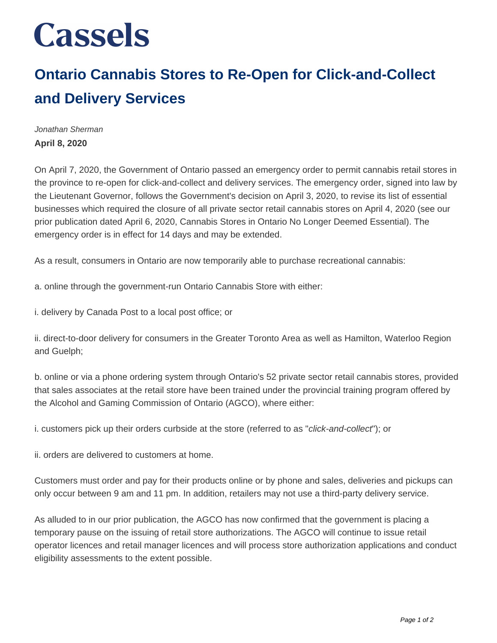## **Cassels**

## **Ontario Cannabis Stores to Re-Open for Click-and-Collect and Delivery Services**

Jonathan Sherman **April 8, 2020**

On April 7, 2020, the Government of Ontario passed an emergency order to permit cannabis retail stores in the province to re-open for click-and-collect and delivery services. The emergency order, signed into law by the Lieutenant Governor, follows the Government's decision on April 3, 2020, to revise its list of essential businesses which required the closure of all private sector retail cannabis stores on April 4, 2020 (see our prior publication dated April 6, 2020, Cannabis Stores in Ontario No Longer Deemed Essential). The emergency order is in effect for 14 days and may be extended.

As a result, consumers in Ontario are now temporarily able to purchase recreational cannabis:

a. online through the government-run Ontario Cannabis Store with either:

i. delivery by Canada Post to a local post office; or

ii. direct-to-door delivery for consumers in the Greater Toronto Area as well as Hamilton, Waterloo Region and Guelph;

b. online or via a phone ordering system through Ontario's 52 private sector retail cannabis stores, provided that sales associates at the retail store have been trained under the provincial training program offered by the Alcohol and Gaming Commission of Ontario (AGCO), where either:

i. customers pick up their orders curbside at the store (referred to as "click-and-collect"); or

ii. orders are delivered to customers at home.

Customers must order and pay for their products online or by phone and sales, deliveries and pickups can only occur between 9 am and 11 pm. In addition, retailers may not use a third-party delivery service.

As alluded to in our prior publication, the AGCO has now confirmed that the government is placing a temporary pause on the issuing of retail store authorizations. The AGCO will continue to issue retail operator licences and retail manager licences and will process store authorization applications and conduct eligibility assessments to the extent possible.